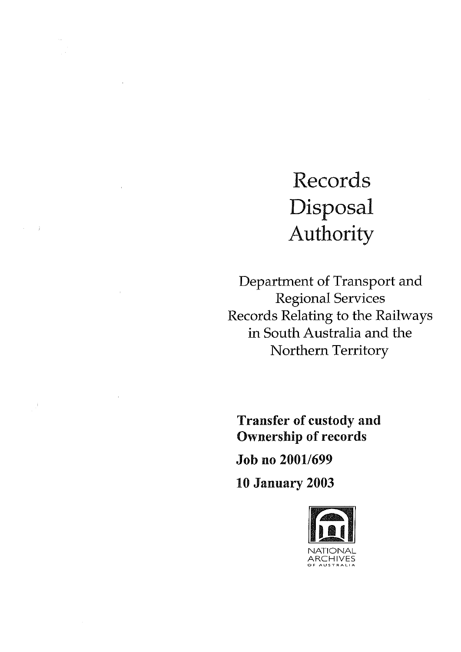# Records Disposal Authority

Department of Transport and Regional Services Records Relating to the Railways in South Australia and the Northern Territory

Transfer of custody and Ownership of records Job no 2001/699 10 January 2003

 $\frac{1}{2}$ 

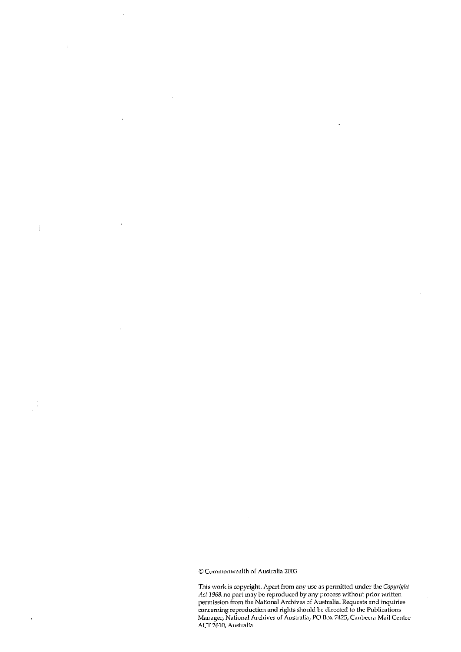© Commonwealth of Australia 2003

 $\ddot{\phantom{0}}$ 

This work is copyright. Apart from any use as permitted under the *Copyright*  Act 1968, no part may be reproduced by any process without prior written permission from the National Archives of Australia. Requests and inquiries concerning reproduction and rights should be directed to the Publications Manager, National Archives of Australia, PO Box 7425, Canberra Mail Centre ACT 2610, Australia.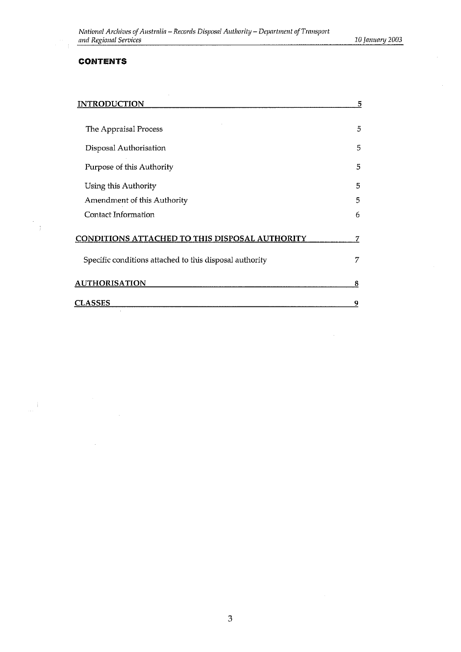$\sim$ 

#### **CONTENTS**

 $\sim$ 

 $\bar{z}$ 

 $\begin{pmatrix} 1 & 0 \\ 0 & 1 \end{pmatrix}$ 

 $\frac{1}{\sqrt{2}}$ 

| <b>INTRODUCTION</b>                                     | 5 |
|---------------------------------------------------------|---|
|                                                         |   |
| The Appraisal Process                                   | 5 |
| Disposal Authorisation                                  | 5 |
| Purpose of this Authority                               | 5 |
| Using this Authority                                    | 5 |
| Amendment of this Authority                             | 5 |
| Contact Information                                     | 6 |
| <b>CONDITIONS ATTACHED TO THIS DISPOSAL AUTHORITY</b>   | 7 |
| Specific conditions attached to this disposal authority | 7 |
| <u>AUTHORISATION</u>                                    | 8 |
| LASSES                                                  | 9 |

 $\hat{\boldsymbol{\beta}}$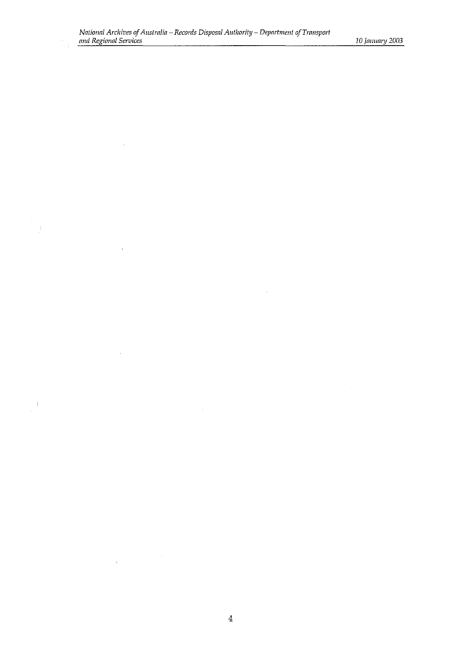$\bar{\tau}$  .

 $\begin{array}{c} \mathcal{L}_{\mathcal{A}} \\ \mathcal{L}_{\mathcal{A}} \\ \mathcal{L}_{\mathcal{A}} \end{array}$ 

 $\frac{1}{\sigma^2}$ 

 $\hat{t}$ 

 $\bar{1}$ 

 $\epsilon$ 

 $\hat{\boldsymbol{\beta}}$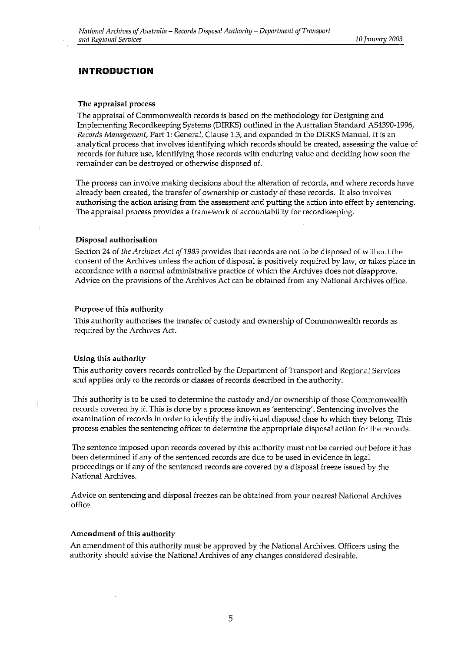#### **iNTRODUCTiON**

#### The appraisal process

The appraisal of Commonwealth records is based on the methodology for Designing and Implementing Recordkeeping Systems (DIRKS) outlined in the Australian Standard AS4390-1996, *Records Management,* Part 1: General, Clause 1.3, and expanded in the DIRKS Manual. It is an analytical process that involves identifying which records should be created, assessing the value of records for future use, identifying those records with enduring value and deciding how soon the remainder can be destroyed or otherwise disposed of.

The process can involve making decisions about the alteration of records, and where records have already been created, the transfer of ownership or custody of these records. It also involves authorising the action arising from the assessment and putting the action into effect by sentencing. The appraisal process provides a framework of accountability for recordkeeping.

#### Disposal authorisation

Section 24 of *the Archives Act of1983* provides that records are not to be disposed of without the consent of the Archives unless the action of disposal is positively required by law, or takes place in accordance with a normal administrative practice of which the Archives does not disapprove. Advice on the provisions of the Archives Act can be obtained from any National Archives office.

#### Purpose of this authority

This authority authorises the transfer of custody and ownership of Commonwealth records as required by the Archives Act.

#### Using this authority

This authority covers records controlled by the Department of Transport and Regional Services and applies only to the records or classes of records described in the authority.

This authority is to be used to determine the custody and/or ownership of those Commonwealth records covered by it. This is done by a process known as 'sentencing'. Sentencing involves the examination of records in order to identify the individual disposal class to which they belong. This process enables the sentencing officer to determine the appropriate disposal action for the records.

The sentence imposed upon records covered by this authority must not be carried out before it has been determined if any of the sentenced records are due to be used in evidence in legal proceedings or if any of the sentenced records are covered by a disposal freeze issued by the National Archives.

Advice on sentencing and disposal freezes can be obtained from your nearest National Archives office.

#### Amendment of this authority

An amendment of this authority must be approved by the National Archives. Officers using the authority should advise the National Archives of any changes considered desirable.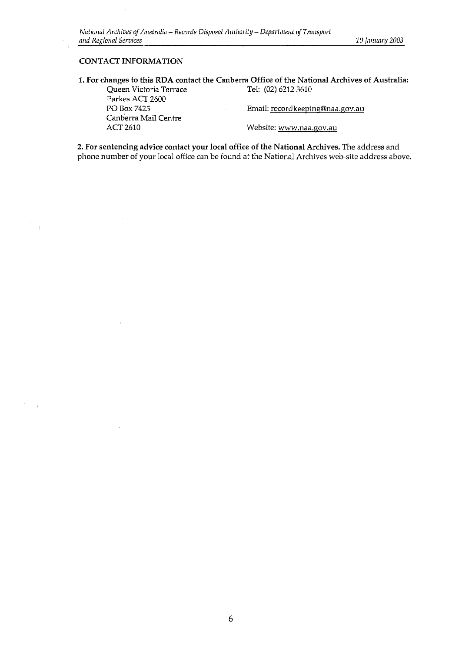#### CONTACT INFORMATION

 $\hat{\mathbf{r}}$ 

 $\bar{\beta}$ 

 $\bar{z}$ 

 $\frac{1}{\alpha}$ 

 $\left\{\begin{array}{c} 1 \\ 0 \\ 0 \end{array}\right\}$ 

 $\overline{1}$ 

| 1. For changes to this RDA contact the Canberra Office of the National Archives of Australia: |                                 |  |  |
|-----------------------------------------------------------------------------------------------|---------------------------------|--|--|
| Queen Victoria Terrace                                                                        | Tel: (02) 6212 3610             |  |  |
| Parkes ACT 2600                                                                               |                                 |  |  |
| PO Box 7425                                                                                   | Email: recordkeeping@naa.gov.au |  |  |
| Canberra Mail Centre                                                                          |                                 |  |  |
| ACT 2610                                                                                      | Website: www.naa.gov.au         |  |  |

2. For sentencing advice contact your local office of the National Archives. The address and phone number of your local office can be found at the National Archives web-site address above.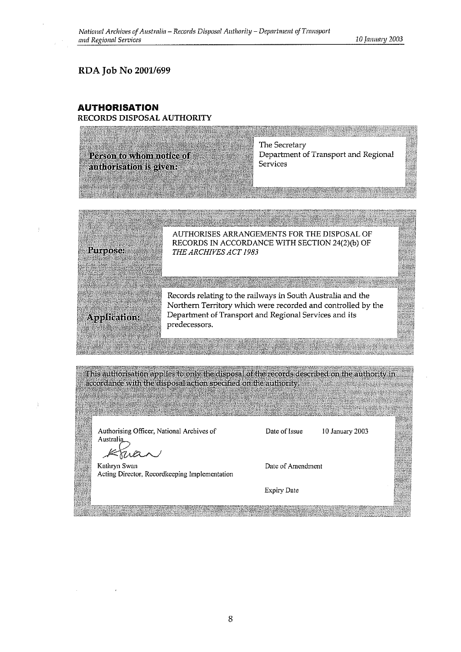#### **RDA Job** No *2001/699*

#### **AUTHORISATION**  RECORDS DISPOSAL AUTHORITY

Person to whom notice of authorisation is given:

The Secretary Department of Transport and Regional Services

| <b>Purpose:</b> | AUTHORISES ARRANGEMENTS FOR THE DISPOSAL OF<br>RECORDS IN ACCORDANCE WITH SECTION 24(2)(b) OF<br>THE ARCHIVES ACT 1983                                                                                |  |
|-----------------|-------------------------------------------------------------------------------------------------------------------------------------------------------------------------------------------------------|--|
| Appheahon:      | Records relating to the railways in South Australia and the<br>Northern Territory which were recorded and controlled by the<br>Department of Transport and Regional Services and its<br>predecessors. |  |

This authorisation applies to only the disposal of the records described on the authority in accordance with the disposal action specified on the authority.

Authorising Officer, National Archives of Australig

Kathryn Swan Acting Director, Recordkeeping Implementation Date of Issue

10 January 2003

Date of Amendment

**Expiry Date**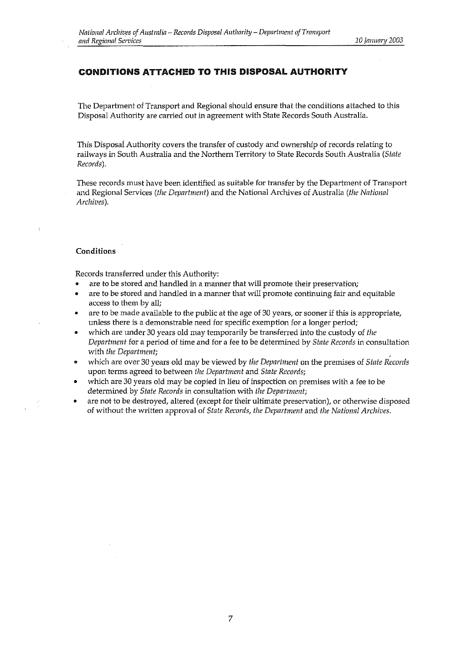#### **CONDITIONS ATTACHED TO THIS DISPOSAL AUTHORITY**

The Department of Transport and Regional should ensure that the conditions attached to this Disposal Authority are carried out in agreement with State Records South Australia.

This Disposal Authority covers the transfer of custody and ownership of records relating to railways in South Australia and the Northern Territory to State Records South Australia *(State Records).* 

These records must have been identified as suitable for transfer by the Department of Transport and Regional Services *(the Department)* and the National Archives of Australia *(the National Archives).* 

#### Conditions

Records transferred under this Authority:

- are to be stored and handled in a manner that will promote their preservation;
- are to be stored and handled in a manner that will promote continuing fair and equitable access to them by all;
- are to be made available to the public at the age of 30 years, or sooner if this is appropriate, unless there is a demonstrable need for specific exemption for a longer period;
- which are under 30 years old may temporarily be transferred into the custody of *the Department* for a period of time and for a fee to be determined by *State Records* in consultation with *the Department*;
- which are over 30 years old may be viewed by *the Department* on the premises of *State Records*  upon terms agreed to between *the Department* and *State Records;*
- which are 30 years old may be copied in lieu of inspection on premises with a fee to be determined by *State Records* in consultation with *the Department;*
- are not to be destroyed, altered (except for their ultimate preservation), or otherwise disposed of without the written approval of *StateRecords, the Department* and *the National Archives.*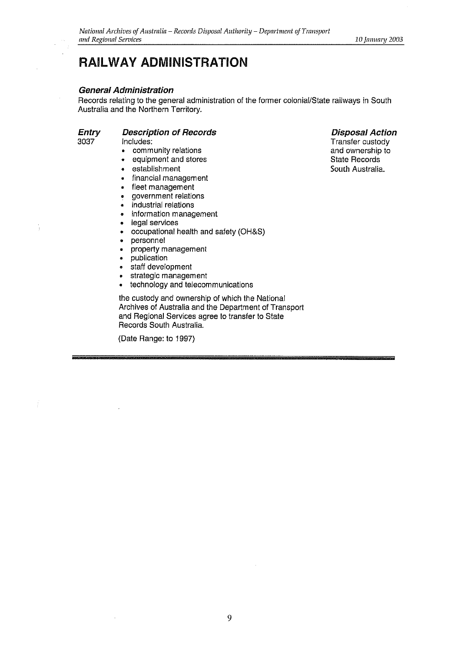### **RAILWAY ADMINISTRATION**

#### **General Administration**

Records relating to the general administration of the former colonial/State railways in South Australia and the Northern Territory.

Ť

## **Entry** Description of Records Disposal Action **Disposal Action**<br> **Brand Book Conducts:** Disposal Action **Disposal Action**

- 
- equipment and stores<br>• establishment
- 
- financial management
- fleet management<br>• government relatio
- government relations
- industrial relations
- information management
- legal services
- occupational health and safety (OH&S)
- personnel<br>• property m
- property management<br>• publication
- publication
- staff development
- strategic management
- technology and telecommunications

the custody and ownership of which the National Archives of Australia and the Department of Transport and Regional Services agree to transfer to State Records South Australia.

(Date Range: to 1997)

Transfer custody<br>and ownership to • community relations and ownership<br>• equipment and stores and ownership to the equipment and stores • establishment **South** Australia.